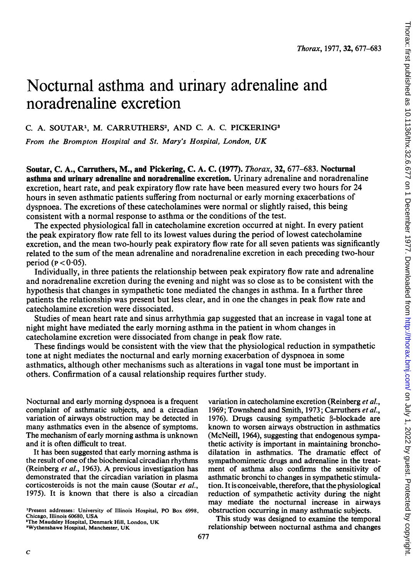# Nocturnal asthma and urinary adrenaline and noradrenaline excretion

# C. A. SOUTAR<sup>1</sup>, M. CARRUTHERS<sup>2</sup>, AND C. A. C. PICKERING<sup>3</sup>

From the Brompton Hospital and St. Mary's Hospital, London, UK

Soutar, C. A., Carruthers, M., and Pickering, C. A. C. (1977). Thorax, 32, 677-683. Nocturnal asthma and urinary adrenaline and noradrenaline excretion. Urinary adrenaline and noradrenaline excretion, heart rate, and peak expiratory flow rate have been measured every two hours for 24 hours in seven asthmatic patients suffering from nocturnal or early morning exacerbations of dyspnoea. The excretions of these catecholamines were normal or slightly raised, this being consistent with a normal response to asthma or the conditions of the test.

The expected physiological fall in catecholamine excretion occurred at night. In every patient the peak expiratory flow rate fell to its lowest values during the period of lowest catecholamine excretion, and the mean two-hourly peak expiratory flow rate for all seven patients was significantly related to the sum of the mean adrenaline and noradrenaline excretion in each preceding two-hour period ( $P < 0.05$ ).

Individually, in three patients the relationship between peak expiratory flow rate and adrenaline and noradrenaline excretion during the evening and night was so close as to be consistent with the hypothesis that changes in sympathetic tone mediated the changes in asthma. In a further three patients the relationship was present but less clear, and in one the changes in peak flow rate and catecholamine excretion were dissociated.

Studies of mean heart rate and sinus arrhythmia gap suggested that an increase in vagal tone at night might have mediated the early morning asthma in the patient in whom changes in catecholamine excretion were dissociated from change in peak flow rate.

These findings would be consistent with the view that the physiological reduction in sympathetic tone at night mediates the nocturnal and early morning exacerbation of dyspnoea in some asthmatics, although other mechanisms such as alterations in vagal tone must be important in others. Confirmation of a causal relationship requires further study.

Nocturnal and early morning dyspnoea is a frequent complaint of asthmatic subjects, and a circadian variation of airways obstruction may be detected in many asthmatics even in the absence of symptoms. The mechanism of early morning asthma is unknown and it is often difficult to treat.

It has been suggested that early morning asthma is the result of one of the biochemical circadian rhythms (Reinberg et al., 1963). A previous investigation has demonstrated that the circadian variation in plasma corticosteroids is not the main cause (Soutar et al., 1975). It is known that there is also a circadian variation in catecholamine excretion (Reinberg et al., 1969: Townshend and Smith, 1973: Carruthers et al., 1976). Drugs causing sympathetic  $\beta$ -blockade are known to worsen airways obstruction in asthmatics (McNeill, 1964), suggesting that endogenous sympathetic activity is important in maintaining bronchodilatation in asthmatics. The dramatic effect of sympathomimetic drugs and adrenaline in the treatment of asthma also confirms the sensitivity of asthmatic bronchi to changes in sympathetic stimulation. It is conceivable, therefore, that the physiological reduction of sympathetic activity during the night may mediate the nocturnal increase in airways obstruction occurring in many asthmatic subjects.

This study was designed to examine the temporal relationship between nocturnal asthma and changes

<sup>&#</sup>x27;Present addresses: University of Illinois Hospital, PO Box 6998, Chicago, Illinois 60680, USA

<sup>2</sup>The Maudsley Hospital, Denmark Hill, London, UK

<sup>&#</sup>x27;Wythenshawe Hospital, Manchester, UK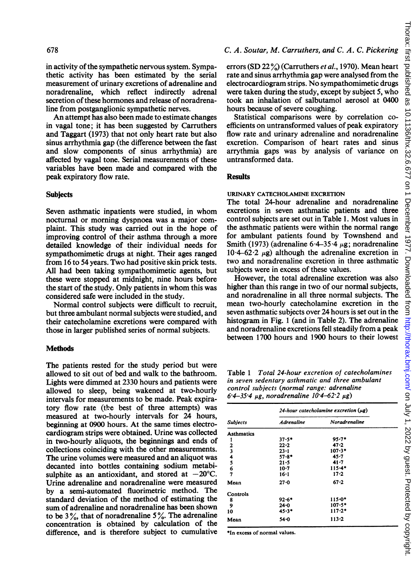in activity of the sympathetic nervous system. Sympathetic activity has been estimated by the serial measurement of urinary excretions of adrenaline and noradrenaline, which reflect indirectly adrenal secretion of these hormones and release of noradrenaline from postganglionic sympathetic nerves.

An attempt has also been made to estimate changes in vagal tone; it has been suggested by Carruthers and Taggart (1973) that not only heart rate but also sinus arrhythmia gap (the difference between the fast and slow components of sinus arrhythmia) are affected by vagal tone. Serial measurements of these variables have been made and compared with the peak expiratory flow rate.

#### **Subjects**

Seven asthmatic inpatients were studied, in whom nocturnal or morning dyspnoea was a major complaint. This study was carried out in the hope of improving control of their asthma through a more detailed knowledge of their individual needs for sympathomimetic drugs at night. Their ages ranged from 16 to 54 years. Two had positive skin prick tests. All had been taking sympathomimetic agents, but these were stopped at midnight, nine hours before the start of the study. Only patients in whom this was considered safe were included in the study.

Normal control subjects were difficult to recruit, but three ambulant normal subjects were studied, and their catecholamine excretions were compared with those in larger published series of normal subjects.

#### **Methods**

The patients rested for the study period but were allowed to sit out of bed and walk to the bathroom. Lights were dimmed at 2330 hours and patients were allowed to sleep, being wakened at two-hourly intervals for measurements to be made. Peak expiratory flow rate (the best of three attempts) was measured at two-hourly intervals for 24 hours, beginning at 0900 hours. At the same times electrocardiogram strips were obtained. Urine was collected in two-hourly aliquots, the beginnings and ends of collections coinciding with the other measurements. The urine volumes were measured and an aliquot was decanted into bottles containing sodium metabisulphite as an antioxidant, and stored at  $-20^{\circ}$ C. Urine adrenaline and noradrenaline were measured by a semi-automated fluorimetric method. The standard deviation of the method of estimating the sum of adrenaline and noradrenaline has been shown to be  $3\%$ , that of noradrenaline  $5\%$ . The adrenaline concentration is obtained by calculation of the difference, and is therefore subject to cumulative

# C. A. Soutar, M. Carruthers, and C. A. C. Pickering

errors (SD 22 $\%$ ) (Carruthers *et al.*, 1970). Mean heart rate and sinus arrhythmia gap were analysed from the electrocardiogram strips. No sympathomimetic drugs were taken during the study, except by subject 5, who took an inhalation of salbutamol aerosol at 0400 hours because of severe coughing.

Statistical comparisons were by correlation coefficients on untransformed values of peak expiratory flow rate and urinary adrenaline and noradrenaline excretion. Comparison of heart rates and sinus arrythmia gaps was by analysis of variance on untransformed data.

#### **Results**

#### URINARY CATECHOLAMINE EXCRETION

The total 24-hour adrenaline and noradrenaline excretions in seven asthmatic patients and three control subjects are set out in Table 1. Most values in the asthmatic patients were within the normal range for ambulant patients found by Townshend and Smith (1973) (adrenaline  $6.4-35.4 \mu$ g; noradrenaline 10.4-62.2  $\mu$ g) although the adrenaline excretion in two and noradrenaline excretion in three asthmatic subjects were in excess of these values.

However, the total adrenaline excretion was also higher than this range in two of our normal subjects, and noradrenaline in all three normal subjects. The mean two-hourly catecholamine excretion in the seven asthmatic subjects over 24 hours is set out in the histogram in Fig. <sup>1</sup> (and in Table 2). The adrenaline and noradrenaline excretions fell steadily from a peak between 1700 hours and 1900 hours to their lowest

Table <sup>1</sup> Total 24-hour excretion of catecholamines in seven sedentary asthmatic and three ambulant control subjects (normal range: adrenaline 6.4-35.4  $\mu$ g, noradrenaline 10.4-62.2  $\mu$ g)

|                   | 24-hour catecholamine excretion $(\mu g)$ |                      |  |  |  |  |
|-------------------|-------------------------------------------|----------------------|--|--|--|--|
| Subjects          | <b>Adrenaline</b>                         | <b>Noradrenaline</b> |  |  |  |  |
| <b>Asthmatics</b> |                                           |                      |  |  |  |  |
| 1                 | $37.5*$                                   | $95.7*$              |  |  |  |  |
|                   | $22 - 2$                                  | 47.2                 |  |  |  |  |
|                   | $23 - 1$                                  | $107.3*$             |  |  |  |  |
| 23456             | $57 - 8$ *                                | $45 - 7$             |  |  |  |  |
|                   | $21 - 5$                                  | $41 - 7$             |  |  |  |  |
|                   | $10-7$                                    | $115 - 4$ *          |  |  |  |  |
| 7                 | $16 - 1$                                  | $17 - 2$             |  |  |  |  |
| Mean              | $27 - 0$                                  | $67 - 2$             |  |  |  |  |
| Controls          |                                           |                      |  |  |  |  |
| 8                 | $92.6*$                                   | $115 - 0*$           |  |  |  |  |
| 9                 | $24 - 0$                                  | $107.5*$             |  |  |  |  |
| 10                | 45-3*                                     | $117.2*$             |  |  |  |  |
| Mean              | 54-0                                      | $113 - 2$            |  |  |  |  |

\*In excess of normal values.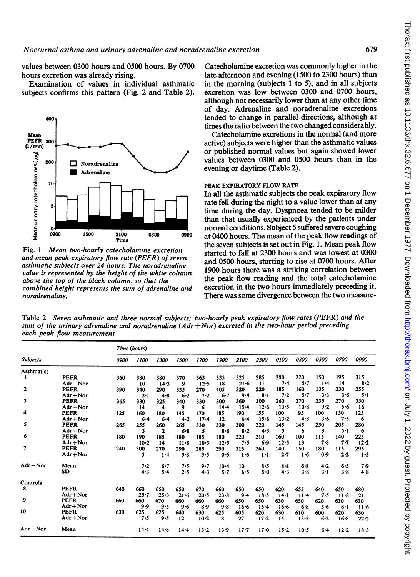values between 0300 hours and 0500 hours. By 0700 hours excretion was already rising.

Examination of values in individual asthmatic subjects confirms this pattern (Fig. 2 and Table 2).



Fig. 1 Mean two-hourly catecholamine excretion and mean peak expiratory flow rate (PEFR) of seven asthmatic subjects over 24 hours. The n value is represented by the height of the white column above the top of the black column, so that the combined height represents the sum of adrenaline and noradrenaline.

Catecholamine excretion was commonly higher in the late afternoon and evening (1500 to 2300 hours) than in the morning (subjects <sup>1</sup> to 5), and in all subjects excretion was low between 0300 and 0700 hours, although not necessarily lower than at any other time of day. Adrenaline and noradrenaline excretions tended to change in parallel directions, although at times the ratio between the two changed considerably.

Catecholamine excretions in the normal (and more active) subjects were higher than the asthmatic values or published normal values but again showed lower values between 0300 and 0500 hours than in the evening or daytime (Table 2).

# PEAK EXPIRATORY FLOW RATE

In all the asthmatic subjects the peak expiratory flow rate fell during the night to a value lower than at any time during the day. Dyspnoea tended to be milder than that usually experienced by the patients under normal conditions. Subject 5 suffered severe coughing 0300 0900 at 0400 hours. The mean of the peak flow readings of the seven subjects is set out in Fig. 1. Mean peak flow started to fall at 2300 hours and was lowest at 0300 and 0500 hours, starting to rise at 0700 hours. After 1900 hours there was a striking correlation between the peak flow reading and the total catecholamine excretion in the two hours immediately preceding it. There was some divergence between the two measure-

Table 2 Seven asthmatic and three normal subjects: two-hourly peak expiratory flow rates (PEFR) and the sum of the urinary adrenaline and noradrenaline  $(Ad**r**+Nor)$  excreted in the two-hour period preceding each peak flow measurement

|                   |             | Time (hours) |          |              |          |          |          |          |                |          |          |         |          |          |
|-------------------|-------------|--------------|----------|--------------|----------|----------|----------|----------|----------------|----------|----------|---------|----------|----------|
| <b>Subjects</b>   |             | 0900         | 1100     | 1300         | 1500     | 1700     | 1900     | 2100     | 2300           | 0100     | 0300     | 0500    | 0700     | 0900     |
| <b>Asthmatics</b> |             |              |          |              |          |          |          |          |                |          |          |         |          |          |
| 1                 | <b>PEFR</b> | 360          | 380      | 380          | 370      | 365      | 335      | 325      | 285            | 230      | 220      | 150     | 195      | 315      |
|                   | $Adr + Nor$ |              | 10       | 14.3         | 9        | 12.5     | 18       | $21 - 6$ | 11             | $7 - 4$  | 5.7      | $1 - 4$ | 14       | $8 - 2$  |
| 2                 | <b>PEFR</b> | 390          | 340      | 290          | 335      | 270      | 405      | 320      | 220            | 185      | 160      | 135     | 230      | 255      |
|                   | $Adr + Nor$ |              | 2.1      | 4.8          | 6.2      | 7.2      | $6 - 7$  | $9 - 4$  | 8.1            | 7.2      | $5 - 7$  | $3 - 3$ | $3 - 6$  | $5 - 1$  |
| 3                 | <b>PEFR</b> | 365          | 330      | 325          | 340      | 330      | 300      | 360      | 300            | 260      | 270      | 235     | 270      | 330      |
|                   | $Adr + Nor$ |              | 14       | 4            | 9        | 6        | $14 - 4$ | $15 - 4$ | $12 - 6$       | $13 - 5$ | $10 - 8$ | $9 - 2$ | $5 - 6$  | 16       |
| 4                 | <b>PEFR</b> | 125          | 160      | 180          | 145      | 170      | 185      | 190      | 155            | 100      | 95       | 100     | 150      | 125      |
|                   | $Adr + Nor$ |              | $6 - 4$  | $6 - 4$      | 4.2      | $17 - 4$ | 12       | $6 - 4$  | $15 - 6$       | $13 - 2$ | 4.8      | $3 - 6$ | 7.5      | 6        |
| 5                 | <b>PEFR</b> | 265          | 255      | 260          | 265      | 330      | 330      | 300      | 220            | 145      | 145      | 250     | 205      | 280      |
|                   | $Adr + Nor$ |              | 3        | $\mathbf{2}$ | 6.8      | 5        | 8.8      | 8.2      | 4.3            | 5        | 6        | 3       | $5 - 1$  | 6        |
| 6                 | <b>PEFR</b> | 180          | 190      | 185          | 180      | 185      | 180      | 220      | 210            | 160      | 100      | 115     | 140      | 225      |
|                   | $Adr + Nor$ |              | $10 - 2$ | 14           | $11 - 8$ | 10.3     | 12.3     | 7.5      | 6.9            | $12 - 5$ | 13       | $7 - 8$ | 7.7      | $12 - 2$ |
| 7                 | <b>PEFR</b> | 240          | 300      | 270          | 290      | 285      | 290      | 315      | 260            | 140      | 150      | 180     | 115      | 295      |
|                   | $Adr + Nor$ |              | 5        | $1 - 4$      | $5 - 8$  | 9.5      | $0 - 6$  | 1.6      | 1 <sup>1</sup> | 2.7      | 1.6      | 0.9     | 2.2      | 1.5      |
|                   |             |              |          |              |          |          |          |          |                |          |          |         |          |          |
| $Adr + Nor$       | Mean        |              | $7 - 2$  | $6 - 7$      | 7.5      | $9 - 7$  | $10 - 4$ | 10       | 8.5            | $8 - 8$  | $6 - 8$  | 4.2     | 6.5      | 7.9      |
|                   | <b>SD</b>   |              | 4.3      | $5 - 4$      | 2.5      | 4.3      | $5 - 7$  | 6.5      | $5 - 0$        | 4.3      | $3 - 8$  | $3 - 1$ | $3 - 8$  | $4 - 8$  |
| Controls          |             |              |          |              |          |          |          |          |                |          |          |         |          |          |
| 8                 | <b>PEFR</b> | 640          | 660      | 650          | 650      | 670      | 660      | 650      | 650            | 620      | 655      | 640     | 650      | 680      |
|                   | $Adr + Nor$ |              | $25 - 7$ | $25 - 3$     | $21 - 6$ | 20.5     | $23 - 8$ | $9 - 4$  | 18.5           | $14-1$   | $11 - 4$ | 7.5     | $11 - 8$ | 21       |
| 9                 | <b>PEFR</b> | 660          | 660      | 670          | 660      | 660      | 660      | 650      | 650            | 630      | 650      | 620     | 630      | 630      |
|                   | $Adr + Nor$ |              | 9.9      | 9.5          | 9.6      | 8.9      | 9.8      | $16 - 6$ | $15 - 4$       | $16 - 6$ | 6.8      | 5.6     | 8·1      | $11 - 6$ |
| 10                | <b>PEFR</b> | 630          | 625      | 625          | 640      | 630      | 625      | 605      | 620            | 630      | 610      | 600     | 620      | 630      |
|                   | $Adr + Nor$ |              | $7 - 5$  | 9.5          | 12       | $10 - 2$ | 8        | 27       | $17 - 2$       | 15       | $13 - 3$ | $6 - 2$ | $16 - 8$ | 22.2     |
| Adr + Nor         | Mean        |              | $14 - 4$ | $14 - 8$     | $14 - 4$ | $13 - 2$ | $13 - 9$ | $17 - 7$ | $17 - 0$       | $15 - 2$ | $10 - 5$ | 6.4     | $12 - 2$ | $18 - 3$ |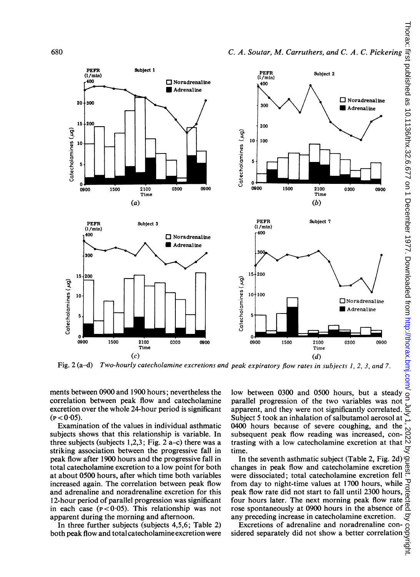

Fig. 2 (a-d) Two-hourly catecholamine excretions and peak expiratory flow rates in subjects 1, 2, 3, and 7.

ments between 0900 and 1900 hours; nevertheless the correlation between peak flow and catecholamine excretion over the whole 24-hour period is significant  $(p < 0.05)$ .

Examination of the values in individual asthmatic subjects shows that this relationship is variable. In three subjects (subjects  $1,2,3$ ; Fig.  $2$  a-c) there was a striking association between the progressive fall in peak flow after 1900 hours and the progressive fall in total catecholamine excretion to a low point for both at about 0500 hours, after which time both variables increased again. The correlation between peak flow and adrenaline and noradrenaline excretion for this 12-hour period of parallel progression was significant in each case  $(p < 0.05)$ . This relationship was not apparent during the morning and afternoon.

In three further subjects (subjects 4,5,6; Table 2) both peak flow and total catecholamine excretion were parallel progression of the two variables was not apparent, and they were not significantly correlated. Subject 5 took an inhalation of salbutamol aerosol at 0400 hours because of severe coughing, and the subsequent peak flow reading was increased, contrasting with a low catecholamine excretion at that time.

In the seventh asthmatic subject (Table 2, Fig. 2d) changes in peak flow and catecholamine excretion were dissociated; total catecholamine excretion fell from day to night-time values at 1700 hours, while peak flow rate did not start to fall until 2300 hours, once<br>four hours later. The next morning peak flow rate of<br>rose spontaneously at 0900 hours in the absence of  $\frac{1}{62}$ four hours later. The next morning peak flow rate any preceding increase in catecholamine excretion.

rose spontaneously at 0900 hours in the absence of  $\frac{a}{c}$ <br>any preceding increase in catecholamine excretion.  $\frac{c}{c}$ <br>Excretions of adrenaline and noradrenaline con-<br>sidered separately did not show a better correlation Excretions of adrenaline and noradrenaline considered separately did not show a better correlation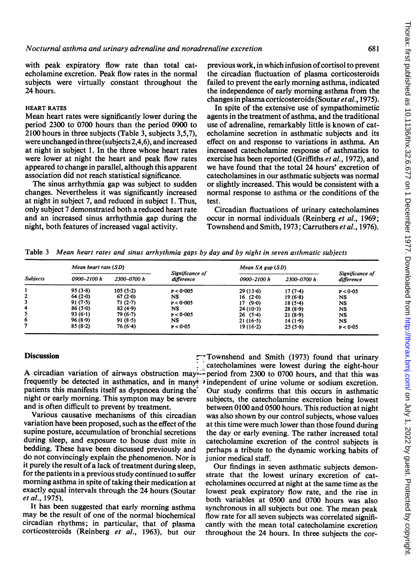with peak expiratory flow rate than total catecholamine excretion. Peak flow rates in the normal subjects were virtually constant throughout the 24 hours.

### HEART RATES

Mean heart rates were significantly lower during the period 2300 to 0700 hours than the period 0900 to 2100 hours in three subjects (Table 3, subjects 3,5,7), were unchanged in three (subjects 2,4,6), and increased at night in subject 1. In the three whose heart rates were lower at night the heart and peak flow rates appeared to change in parallel, although this apparent association did not reach statistical significance.

The sinus arrhythmia gap was subject to sudden changes. Nevertheless it was significantly increased at night in subject 7, and reduced in subject 1. Thus, only subject 7 demonstrated both a reduced heart rate and an increased sinus arrhythmia gap during the night, both features of increased vagal activity.

previous work, in which infusion of cortisol to prevent the circadian fluctuation of plasma corticosteroids failed to prevent the early morning asthma, indicated the independence of early morning asthma from the changes in plasma corticosteroids (Soutar et al., 1975).

In spite of the extensive use of sympathomimetic agents in the treatment of asthma, and the traditional use of adrenaline, remarkably little is known of catecholamine secretion in asthmatic subjects and its effect on and response to variations in asthma. An increased catecholamine response of asthmatics to exercise has been reported (Griffiths et al., 1972), and we have found that the total 24 hours' excretion of catecholamines in our asthmatic subjects was normal or slightly increased. This would be consistent with a normal response to asthma or the conditions of the test.

Circadian fluctuations of urinary catecholamines occur in normal individuals (Reinberg et al., 1969; Townshend and Smith, 1973; Carruthers et al., 1976).

Table <sup>3</sup> Mean heart rates and sinus arrhythmia gaps by day and by night in seven asthmatic subjects

| <b>Subjects</b> | Mean heart rate (SD) |             |                               | Mean $SA$ gap $(SD)$ |             |                               |  |
|-----------------|----------------------|-------------|-------------------------------|----------------------|-------------|-------------------------------|--|
|                 | 0900–2100 h          | 2300–0700 h | Significance of<br>difference | 0900-2100 h          | 2300–0700 h | Significance of<br>difference |  |
|                 | 95(3.8)              | 105(5.2)    | P < 0.005                     | 29(13.6)             | $17(7-4)$   | P < 0.05                      |  |
| 2               | 64(2.0)              | 67(2.0)     | NS                            | 16(2.0)              | 19(6.8)     | NS                            |  |
| 3               | 91(7.5)              | 71(2.7)     | P < 0.005                     | 17(9.0)              | 18(5.4)     | <b>NS</b>                     |  |
| 4               | 86(5.0)              | 82(4.9)     | NS                            | $24(10-3)$           | 28(8.9)     | <b>NS</b>                     |  |
| 5               | 93(6.1)              | 79(6.7)     | P < 0.005                     | 26(5.4)              | 21(8.9)     | <b>NS</b>                     |  |
| 6               | 96(8.9)              | 91(8.5)     | NS                            | 21(16.5)             | 14(1.9)     | NS                            |  |
| 7               | 85(8.2)              | 76 (6.4)    | P < 0.05                      | $19(16-2)$           | $25(5-8)$   | P < 0.05                      |  |

A circadian variation of airways obstruction may—period from 2300 to 0700 hours, and that this was frequently be detected in asthmatics, and in many independent of urine volume or sodium excretion.<br>patients this manifests itself as dyspnoea during the Our study confirms that this occurs in asthmatic patients this manifests itself as dyspnoea during the Our study confirms that this occurs in asthmatic night or early morning. This sympton may be severe subjects, the catecholamine excretion being lowest night or early morning. This sympton may be severe subjects, the catecholamine excretion being lowest and is often difficult to prevent by treatment.

Various causative mechanisms of this circadian was also shown by our control subjects, whose values<br>variation have been proposed, such as the effect of the at this time were much lower than those found during variation have been proposed, such as the effect of the at this time were much lower than those found during supine posture, accumulation of bronchial secretions the day or early evening. The rather increased total supine posture, accumulation of bronchial secretions the day or early evening. The rather increased total during sleep, and exposure to house dust mite in catecholamine excretion of the control subjects is during sleep, and exposure to house dust mite in cate cholamine excretion of the control subjects is bedding. These have been discussed previously and perhaps a tribute to the dynamic working habits of do not convincingly explain the phenomenon. Nor is junior medical staff.<br>it purely the result of a lack of treatment during sleep. Our findings in so for the patients in a previous study continued to suffer strate that the lowest urinary excretion of cat-<br>morning asthma in spite of taking their medication at echolamines occurred at night at the same time as the morning asthma in spite of taking their medication at echolamines occurred at night at the same time as the exactly equal intervals through the 24 hours (Soutar lowest peak expiratory flow rate, and the rise in exactly equal intervals through the 24 hours (Soutar lowest peak expiratory flow rate, and the rise in *et al.*, 1975).

circadian rhythms; in particular, that of plasma cantly with the mean total cate cholamine excretion corticosteroids (Reinberg *et al.*, 1963), but our throughout the 24 hours. In three subjects the cor-

Discussion - Townshend and Smith (1973) found that urinary catecholamines were lowest during the eight-hour d is often difficult to prevent by treatment.<br>Various causative mechanisms of this circadian was also shown by our control subjects, whose values perhaps a tribute to the dynamic working habits of

Our findings in seven asthmatic subjects demonal., 1975).<br>It has been suggested that early morning asthma synchronous in all subjects but one. The mean neak It has been suggested that early morning asthma synchronous in all subjects but one. The mean peak may be the result of one of the normal biochemical flow rate for all seven subjects was correlated signififlow rate for all seven subjects was correlated signifithroughout the 24 hours. In three subjects the cor-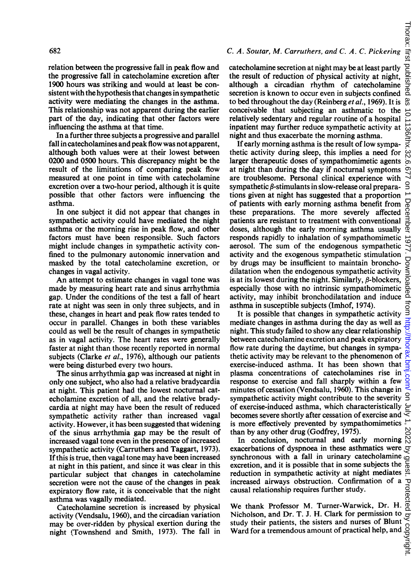# C. A. Soutar, M. Carruthers, and C. A. C. Pickering

relation between the progressive fall in peak flow and the progressive fall in catecholamine excretion after 1900 hours was striking and would at least be consistent with the hypothesis that changes in sympathetic activity were mediating the changes in the asthma. This relationship was not apparent during the earlier part of the day, indicating that other factors were influencing the asthma at that time.

In a further three subjects a progressive and parallel fall in catecholamines and peak flow was not apparent, although both values were at their lowest between 0200 and 0500 hours. This discrepancy might be the result of the limitations of comparing peak flow measured at one point in time with catecholamine excretion over a two-hour period, although it is quite possible that other factors were influencing the asthma.

In one subject it did not appear that changes in sympathetic activity could have mediated the night asthma or the morning rise in peak flow, and other factors must have been responsible. Such factors might include changes in sympathetic activity confined to the pulmonary autonomic innervation and masked by the total catecholamine excretion, or changes in vagal activity.

An attempt to estimate changes in vagal tone was made by measuring heart rate and sinus arrhythmia gap. Under the conditions of the test a fall of heart rate at night was seen in only three subjects, and in these, changes in heart and peak flow rates tended to occur in parallel. Changes in both these variables could as well be the result of changes in sympathetic as in vagal activity. The heart rates were generally faster at night than those recently reported in normal subjects (Clarke *et al.*, 1976), although our patients were being disturbed every two hours.

The sinus arrhythmia gap was increased at night in only one subject, who also had a relative bradycardia at night. This patient had the lowest nocturnal catecholamine excretion of all, and the relative bradycardia at night may have been the result of reduced sympathetic activity rather than increased vagal activity. However, it has been suggested that widening of the sinus arrhythmia gap may be the result of increased vagal tone even in the presence of increased sympathetic activity (Carruthers and Taggart, 1973). If this is true, then vagal tone may have been increased at night in this patient, and since it was clear in this particular subject that changes in catecholamine secretion were not the cause of the changes in peak expiratory flow rate, it is conceivable that the night asthma was vagally mediated.

Catecholamine secretion is increased by physical activity (Vendsalu, 1960), and the circadian variation may be over-ridden by physical exertion during the night (Townshend and Smith, 1973). The fall in catecholamine secretion at night may be at least partly the result of reduction of physical activity at night, although a circadian rhythm of catecholamine secretion is known to occur even in subjects confined to bed throughout the day (Reinberg *et al.*, 1969). It is conceivable that subjecting an asthmatic to the relatively sedentary and regular routine of a hospital inpatient may further reduce sympathetic activity at night and thus exacerbate the morning asthma.

If early morning asthma is the result of low sympathetic activity during sleep, this implies a need for larger therapeutic doses of sympathomimetic agents at night than during the day if nocturnal symptoms are troublesome. Personal clinical experience with sympathetic  $\beta$ -stimulants in slow-release oral preparations given at night has suggested that a proportion of patients with early morning asthma benefit from these preparations. The more severely affected patients are resistant to treatment with conventional doses, although the early morning asthma usually responds rapidly to inhalation of sympathomimetic aerosol. The sum of the endogenous sympathetic activity and the exogenous sympathetic stimulation by drugs may be insufficient to maintain bronchodilatation when the endogenous sympathetic activity is at its lowest during the night. Similarly,  $\beta$ -blockers, especially those with no intrinsic sympathomimetic activity, may inhibit bronchodilatation and induce asthma in susceptible subjects (Imhof, 1974).

It is possible that changes in sympathetic activity mediate changes in asthma during the day as well as night. This study failed to show any clear relationship between catecholamine excretion and peak expiratory flow rate during the daytime, but changes in sympathetic activity may be relevant to the phenomenon of exercise-induced asthma. It has been shown that plasma concentrations of catecholamines rise in response to exercise and fall sharply within a few minutes of cessation (Vendsalu, 1960). This change in sympathetic activity might contribute to the severity of exercise-induced asthma, which characteristically becomes severe shortly after cessation of exercise and is more effectively prevented by sympathomimetics than by any other drug (Godfrey, 1975).

In conclusion, nocturnal and early morning exacerbations of dyspnoea in these asthmatics were synchronous with a fall in urinary catecholamine synchronous with a fall in urinary catecholamine  $\frac{1}{2}$  excretion, and it is possible that in some subjects the  $\frac{1}{6}$  reduction in sympathetic activity at night mediates  $\frac{1}{2}$ . reduction in sympathetic activity at night mediates increased airways obstruction. Confirmation of a causal relationship requires further study.

We thank Professor M. Turner-Warwick, Dr. H. Nicholson, and Dr. T. J. H. Clark for permission to  $\frac{d}{d}$ <br>study their patients, the sisters and nurses of Blunt Ward for a tremendous amount of practical help, and  $\frac{d}{d}$ study their patients, the sisters and nurses of Blunt Ward for a tremendous amount of practical help, and